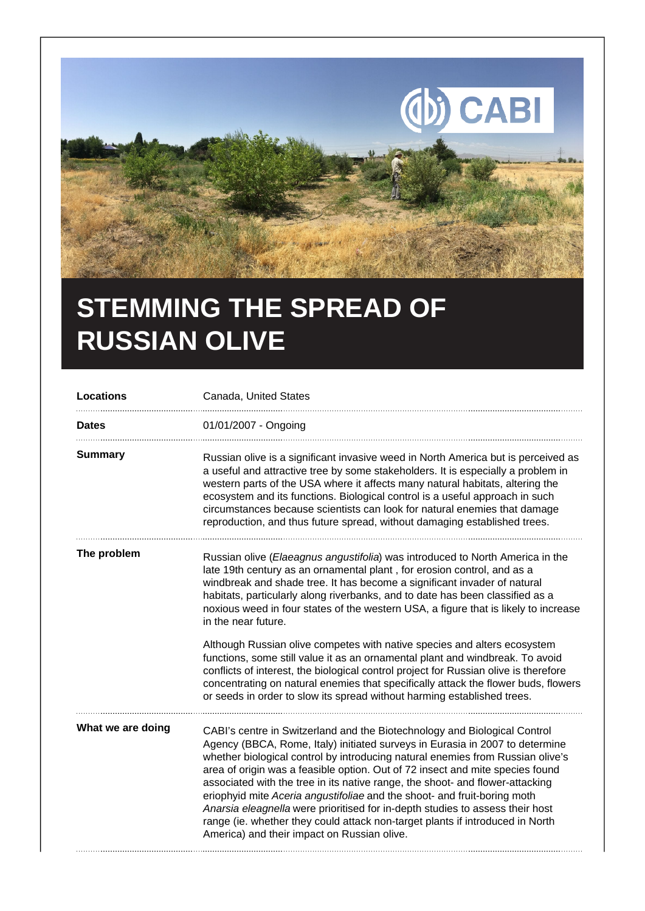

## **STEMMING THE SPREAD OF RUSSIAN OLIVE**

| <b>Locations</b>  | Canada, United States                                                                                                                                                                                                                                                                                                                                                                                                                                                                                                                                                                                                                                                                                      |
|-------------------|------------------------------------------------------------------------------------------------------------------------------------------------------------------------------------------------------------------------------------------------------------------------------------------------------------------------------------------------------------------------------------------------------------------------------------------------------------------------------------------------------------------------------------------------------------------------------------------------------------------------------------------------------------------------------------------------------------|
| <b>Dates</b>      | 01/01/2007 - Ongoing                                                                                                                                                                                                                                                                                                                                                                                                                                                                                                                                                                                                                                                                                       |
| <b>Summary</b>    | Russian olive is a significant invasive weed in North America but is perceived as<br>a useful and attractive tree by some stakeholders. It is especially a problem in<br>western parts of the USA where it affects many natural habitats, altering the<br>ecosystem and its functions. Biological control is a useful approach in such<br>circumstances because scientists can look for natural enemies that damage<br>reproduction, and thus future spread, without damaging established trees.                                                                                                                                                                                                           |
| The problem       | Russian olive (Elaeagnus angustifolia) was introduced to North America in the<br>late 19th century as an ornamental plant, for erosion control, and as a<br>windbreak and shade tree. It has become a significant invader of natural<br>habitats, particularly along riverbanks, and to date has been classified as a<br>noxious weed in four states of the western USA, a figure that is likely to increase<br>in the near future.                                                                                                                                                                                                                                                                        |
|                   | Although Russian olive competes with native species and alters ecosystem<br>functions, some still value it as an ornamental plant and windbreak. To avoid<br>conflicts of interest, the biological control project for Russian olive is therefore<br>concentrating on natural enemies that specifically attack the flower buds, flowers<br>or seeds in order to slow its spread without harming established trees.                                                                                                                                                                                                                                                                                         |
| What we are doing | CABI's centre in Switzerland and the Biotechnology and Biological Control<br>Agency (BBCA, Rome, Italy) initiated surveys in Eurasia in 2007 to determine<br>whether biological control by introducing natural enemies from Russian olive's<br>area of origin was a feasible option. Out of 72 insect and mite species found<br>associated with the tree in its native range, the shoot- and flower-attacking<br>eriophyid mite Aceria angustifoliae and the shoot- and fruit-boring moth<br>Anarsia eleagnella were prioritised for in-depth studies to assess their host<br>range (ie. whether they could attack non-target plants if introduced in North<br>America) and their impact on Russian olive. |